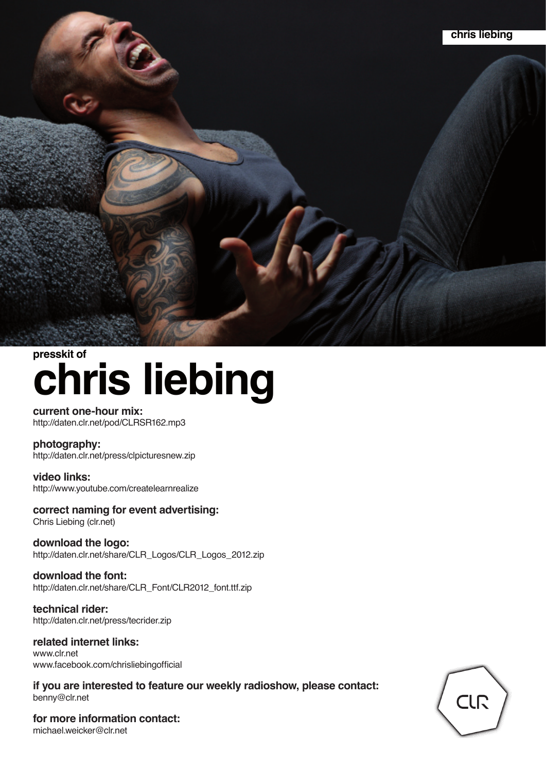

# **chris liebing presskit of**

#### **current one-hour mix:** http://daten.clr.net/pod/CLRSR162.mp3

### **photography:**

http://daten.clr.net/press/clpicturesnew.zip

### **video links:** http://www.youtube.com/createlearnrealize

**correct naming for event advertising:** Chris Liebing (clr.net)

**download the logo:** http://daten.clr.net/share/CLR\_Logos/CLR\_Logos\_2012.zip

**download the font:** http://daten.clr.net/share/CLR\_Font/CLR2012\_font.ttf.zip

**technical rider:** http://daten.clr.net/press/tecrider.zip

**related internet links:** www.clr.net www.facebook.com/chrisliebingofficial

**if you are interested to feature our weekly radioshow, please contact:** benny@clr.net

**for more information contact:** michael.weicker@clr.net